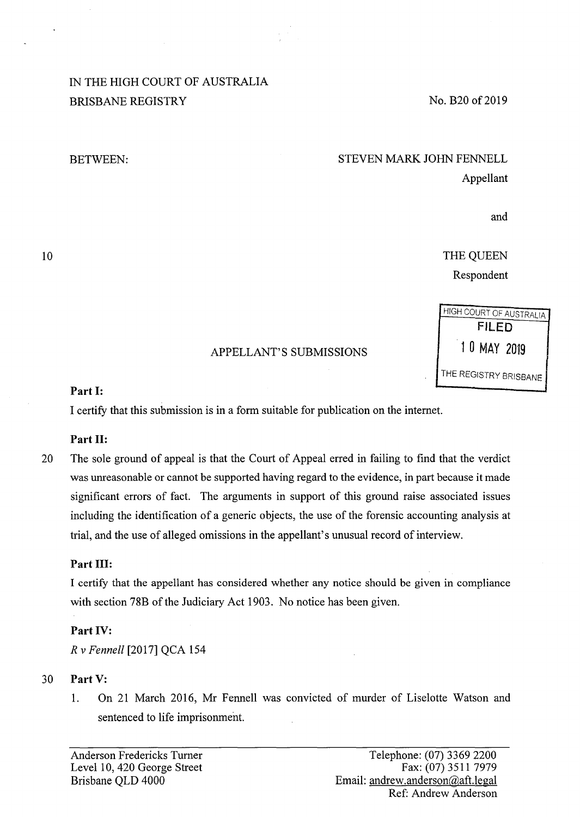# IN THE HIGH COURT OF AUSTRALIA BRISBANE REGISTRY

#### BETWEEN:

# No. B20 of 2019

# STEVEN MARK JOHN FENNELL Appellant

and

HIGH COURT OF AUSTRALIA FILED

THE REGISTRY BRISBANE

THE QUEEN Respondent

# APPELLANT'S SUBMISSIONS 10 MAY 2019

# **Part I:**

I certify that this submission is in a form suitable for publication on the internet.

# **Part II:**

20 The sole ground of appeal is that the Court of Appeal erred in failing to find that the verdict was unreasonable or cannot be supported having regard to the evidence, in part because it made significant errors of fact. The arguments in support of this ground raise associated issues including the identification of a generic objects, the use of the forensic accounting analysis at trial, and the use of alleged omissions in the appellant's unusual record of interview.

# **Part** III:

I certify that the appellant has considered whether any notice should be given in compliance with section 78B of the Judiciary Act 1903. No notice has been given.

# **Part IV:**

*R* v *Fennell* [2017] QCA 154

# 30 **Part V:**

1. On 21 March 2016, Mr Fennell was convicted of murder of Liselotte Watson and sentenced to life imprisonment.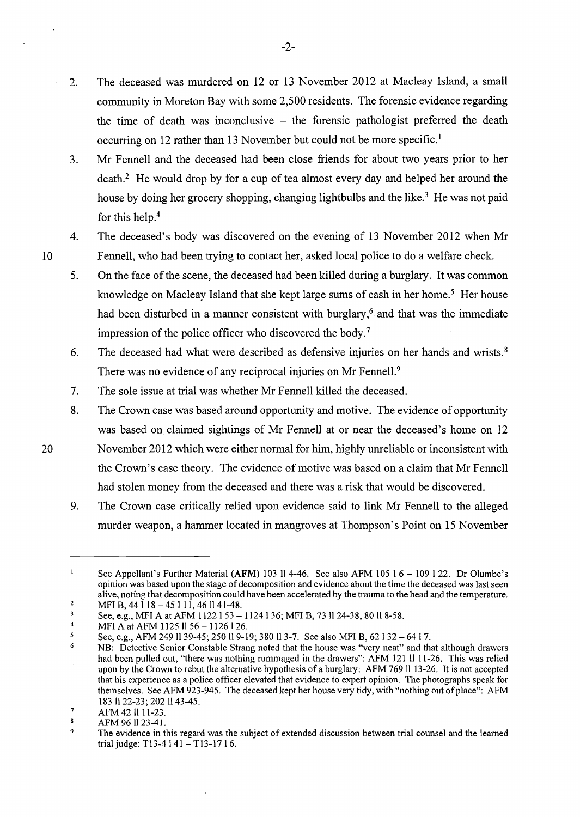- 2. The deceased was murdered on 12 or 13 November 2012 at Macleay Island, a small community in Moreton Bay with some 2,500 residents. The forensic evidence regarding the time of death was inconclusive  $-$  the forensic pathologist preferred the death occurring on 12 rather than 13 November but could not be more specific.<sup>1</sup>
- 3. Mr Fennell and the deceased had been close friends for about two years prior to her death.<sup>2</sup> He would drop by for a cup of tea almost every day and helped her around the house by doing her grocery shopping, changing lightbulbs and the like.<sup>3</sup> He was not paid for this help.<sup>4</sup>
- 4. The deceased's body was discovered on the evening of 13 November 2012 when Mr Fennell, who had been trying to contact her, asked local police to do a welfare check.
- 5. On the face of the scene, the deceased had been killed during a burglary. It was common knowledge on Macleay Island that she kept large sums of cash in her home.<sup>5</sup> Her house had been disturbed in a manner consistent with burglary,<sup> $6$ </sup> and that was the immediate impression of the police officer who discovered the body.<sup>7</sup>
- 6. The deceased had what were described as defensive injuries on her hands and wrists. 8 There was no evidence of any reciprocal injuries on Mr Fennell.<sup>9</sup>
- 7. The sole issue at trial was whether Mr Fennell killed the deceased.
- 8. The Crown case was based around opportunity and motive. The evidence of opportunity was based on claimed sightings of Mr Fennell at or near the deceased's home on 12 November 2012 which were either normal for him, highly unreliable or inconsistent with the Crown's case theory. The evidence of motive was based on a claim that Mr Fennell had stolen money from the deceased and there was a risk that would be discovered.
- 9. The Crown case critically relied upon evidence said to link Mr Fennell to the alleged murder weapon, a hammer located in mangroves at Thompson's Point on 15 November

20

10

 $\mathbf{1}$ See Appellant's Further Material (AFM) 103 ll 4-46. See also AFM 105 1 6 - 109 l 22. Dr Olumbe's opinion was based upon the stage of decomposition and evidence about the time the deceased was last seen alive, noting that decomposition could have been accelerated by the trauma to the head and the temperature.

<sup>2</sup>  MFI B,  $44\bar{1}18-4511\bar{1}$ ,  $46\bar{1}141-48$ .

<sup>3</sup> See, e.g., MFI A at AFM 1122 1 53 - 1124 1 36; MFI B, 73 11 24-38, 80 11 8-58.

<sup>4</sup>  MFI A at AFM 1125 11 56 - 1126 126.

*<sup>5</sup>*  See, e.g., AFM 249 11 39-45; 250 11 9-19; 380 11 3-7. See also MFI B, 62 I 32 - 64 I 7.

<sup>6</sup>  NB: Detective Senior Constable Strang noted that the house was "very neat" and that although drawers had been pulled out, "there was nothing rummaged in the drawers": AFM 121 11 11-26. This was relied upon by the Crown to rebut the alternative hypothesis of a burglary: AFM 769 11 13-26. It is not accepted that his experience as a police officer elevated that evidence to expert opinion. The photographs speak for themselves. See AFM 923-945. The deceased kept her house very tidy, with "nothing out of place": AFM 183 1122-23; 202 1143-45.

<sup>7</sup>  AFM 42 11 11-23.

<sup>8</sup> AFM 96 11 23-41.

<sup>9</sup>  The evidence in this regard was the subject of extended discussion between trial counsel and the learned trial judge: T13-4 | 41 - T13-17 | 6.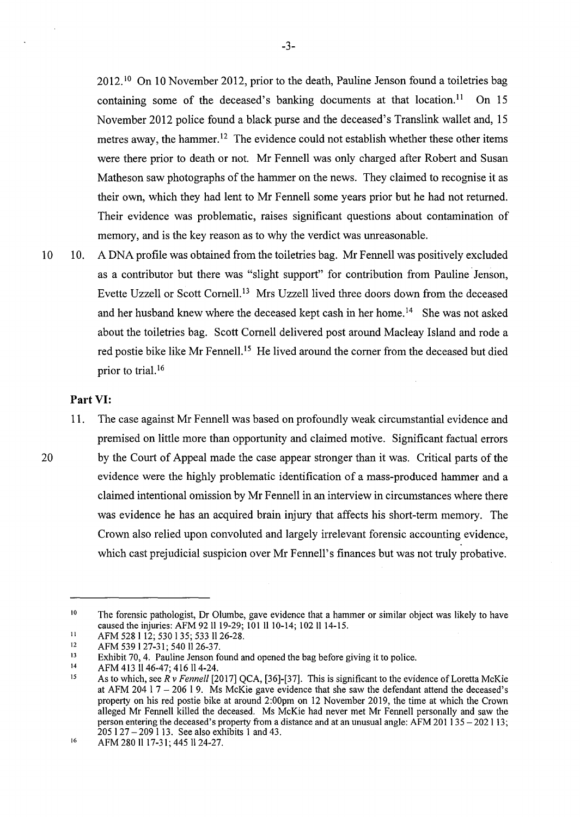$2012<sup>10</sup>$  On 10 November 2012, prior to the death, Pauline Jenson found a toiletries bag containing some of the deceased's banking documents at that location.<sup>11</sup> On 15 November 2012 police found a black purse and the deceased's Translink wallet and, 15 metres away, the hammer.<sup>12</sup> The evidence could not establish whether these other items were there prior to death or not. Mr Fennell was only charged after Robert and Susan Matheson saw photographs of the hammer on the news. They claimed to recognise it as their own, which they had lent to Mr Fennell some years prior but he had not returned. Their evidence was problematic, raises significant questions about contamination of memory, and is the key reason as to why the verdict was unreasonable.

10 10. A DNA profile was obtained from the toiletries bag. Mr Fennell was positively excluded as a contributor but there was "slight support" for contribution from Pauline Jenson, Evette Uzzell or Scott Cornell.<sup>13</sup> Mrs Uzzell lived three doors down from the deceased and her husband knew where the deceased kept cash in her home.<sup>14</sup> She was not asked about the toiletries bag. Scott Cornell delivered post around Macleay Island and rode a red postie bike like Mr Fennell.<sup>15</sup> He lived around the corner from the deceased but died prior to trial.<sup>16</sup>

# **Part VI:**

11. The case against Mr Fennell was based on profoundly weak circumstantial evidence and premised on little more than opportunity and claimed motive. Significant factual errors 20 by the Court of Appeal made the case appear stronger than it was. Critical parts of the evidence were the highly problematic identification of a mass-produced hammer and a claimed intentional omission by Mr Fennell in an interview in circumstances where there was evidence he has an acquired brain injury that affects his short-term memory. The Crown also relied upon convoluted and largely irrelevant forensic accounting evidence, which cast prejudicial suspicion over Mr Fennell's finances but was not truly probative.

<sup>10</sup>  The forensic pathologist, Dr Olumbe, gave evidence that a hammer or similar object was likely to have caused the injuries: AFM 92 ll 19-29; 101 ll 10-14; 102 ll 14-15.

<sup>11</sup>  AFM 528 1 12; 530 1 35; 533 11 26-28.

<sup>12</sup>  AFM 539 1 27-31; 540 1126-37.

<sup>13</sup>  Exhibit 70, 4. Pauline Jenson found and opened the bag before giving it to police.

<sup>14</sup>  AFM 413 II 46-47; 416 II 4-24.

<sup>15</sup>  As to which, see *R* v *Fennell* [2017] QCA, [36]-[37]. This is significant to the evidence of Loretta McKie at AFM 204  $17 - 206$  19. Ms McKie gave evidence that she saw the defendant attend the deceased's property on his red postie bike at around 2:00pm on 12 November 2019, the time at which the Crown alleged Mr Fennell killed the deceased. Ms McKie had never met Mr Fennell personally and saw the person entering the deceased's property from a distance and at an unusual angle: AFM 201 135 - 202 113; 205 I 27 - 209 I 13. See also exhibits 1 and 43.

<sup>16</sup>  AFM 280 11 17-31; 445 11 24-27.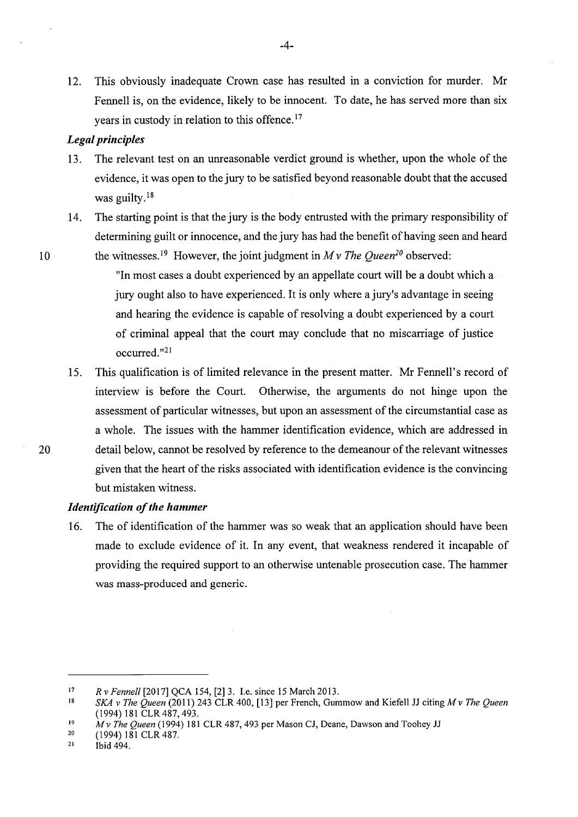12. This obviously inadequate Crown case has resulted in a conviction for murder. Mr Fennell is, on the evidence, likely to be innocent. To date, he has served more than six years in custody in relation to this offence.<sup>17</sup>

#### *Legal principles*

- 13. The relevant test on an unreasonable verdict ground is whether, upon the whole of the evidence, it was open to the jury to be satisfied beyond reasonable doubt that the accused was guilty.<sup>18</sup>
- 14. The starting point is that the jury is the body entrusted with the primary responsibility of determining guilt or innocence, and the jury has had the benefit of having seen and heard 10 the witnesses.<sup>19</sup> However, the joint judgment in  $M v$  The Queen<sup>20</sup> observed:

"In most cases a doubt experienced by an appellate court will be a doubt which a jury ought also to have experienced. It is only where a jury's advantage in seeing and hearing the evidence is capable of resolving a doubt experienced by a court of criminal appeal that the court may conclude that no miscarriage of justice occurred."21

15. This qualification is of limited relevance in the present matter. Mr Fennell's record of interview is before the Court. Otherwise, the arguments do not hinge upon the assessment of particular witnesses, but upon an assessment of the circumstantial case as a whole. The issues with the hammer identification evidence, which are addressed in 20 detail below, cannot be resolved by reference to the demeanour of the relevant witnesses given that the heart of the risks associated with identification evidence is the convincing but mistaken witness.

#### *Identification of the hammer*

16. The of identification of the hammer was so weak that an application should have been made to exclude evidence of it. In any event, that weakness rendered it incapable of providing the required support to an otherwise untenable prosecution case. The hammer was mass-produced and generic.

<sup>17</sup>  *R* v *Fennell* [2017] QCA 154, [2] 3. I.e. since 15 March 2013.

<sup>18</sup>  *SKA v The Queen* (2011) 243 CLR 400, [13] per French, Gummow and Kiefell JJ citing *M v The Queen* (1994) 181 CLR 487, 493.

<sup>19</sup>  *Mv The Queen* (1994) 181 CLR 487,493 per Mason CJ, Deane, Dawson and Toohey JJ

<sup>20</sup>  (1994) 181 CLR 487.

<sup>21</sup>  Ibid 494.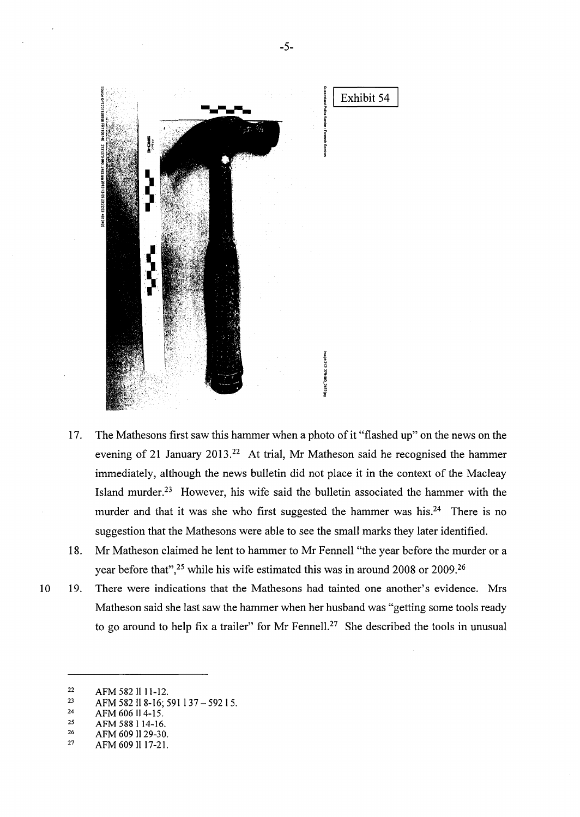

- 17. The Mathesons first saw this hammer when a photo of it "flashed up" on the news on the evening of 21 January 2013.<sup>22</sup> At trial, Mr Matheson said he recognised the hammer immediately, although the news bulletin did not place it in the context of the Macleay Island murder.23 However, his wife said the bulletin associated the hammer with the murder and that it was she who first suggested the hammer was his.<sup>24</sup> There is no suggestion that the Mathesons were able to see the small marks they later identified.
- 18. Mr Matheson claimed he lent to hammer to Mr Fennell "the year before the murder or a year before that",<sup>25</sup> while his wife estimated this was in around 2008 or 2009.<sup>26</sup>
- 10 19. There were indications that the Mathesons had tainted one another's evidence. Mrs Matheson said she last saw the hammer when her husband was "getting some tools ready to go around to help fix a trailer" for Mr Fennell.<sup>27</sup> She described the tools in unusual

26 AFM 609 1129-30.

<sup>22</sup>  AFM 5821111-12.

<sup>23</sup>  AFM 582 ll 8-16; 591 l 37 - 592 l 5.

<sup>24</sup>  AFM 606114-15.

<sup>25</sup>  AFM 588 I 14-16.

<sup>27</sup>  AFM609ll 17-21.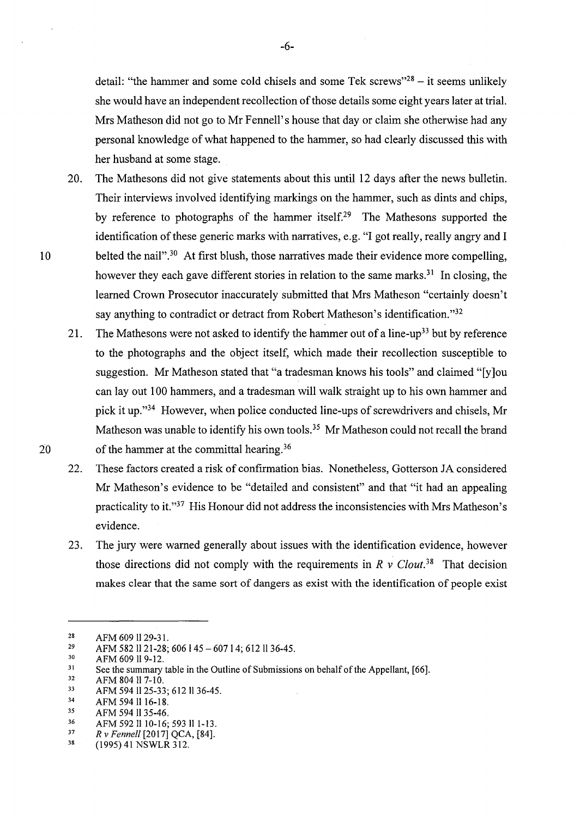detail: "the hammer and some cold chisels and some Tek screws"<sup>28</sup> – it seems unlikely she would have an independent recollection of those details some eight years later at trial. Mrs Matheson did not go to Mr Fennell's house that day or claim she otherwise had any personal knowledge of what happened to the hammer, so had clearly discussed this with her husband at some stage.

- 20. The Mathesons did not give statements about this until 12 days after the news bulletin. Their interviews involved identifying markings on the hammer, such as dints and chips, by reference to photographs of the hammer itself.<sup>29</sup> The Mathesons supported the identification of these generic marks with narratives, e.g. "I got really, really angry and I 10 belted the nail"<sup>30</sup> At first blush, those narratives made their evidence more compelling, however they each gave different stories in relation to the same marks.<sup>31</sup> In closing, the learned Crown Prosecutor inaccurately submitted that Mrs Matheson "certainly doesn't say anything to contradict or detract from Robert Matheson's identification."<sup>32</sup>
- 21. The Mathesons were not asked to identify the hammer out of a line-up<sup>33</sup> but by reference to the photographs and the object itself, which made their recollection susceptible to suggestion. Mr Matheson stated that "a tradesman knows his tools" and claimed "[y ]ou can lay out 100 hammers, and a tradesman will walk straight up to his own hammer and pick it up."34 However, when police conducted line-ups of screwdrivers and chisels, Mr Matheson was unable to identify his own tools.<sup>35</sup> Mr Matheson could not recall the brand 20 of the hammer at the committal hearing.<sup>36</sup>
	- 22. These factors created a risk of confirmation bias. Nonetheless, Gotterson JA considered Mr Matheson's evidence to be "detailed and consistent" and that "it had an appealing practicality to it."37 His Honour did not address the inconsistencies with Mrs Matheson's evidence.
	- 23. The jury were warned generally about issues with the identification evidence, however those directions did not comply with the requirements in  $\ddot{R}$  v *Clout*<sup>38</sup> That decision makes clear that the same sort of dangers as exist with the identification of people exist

<sup>28</sup>  AFM 609 11 29-31.

<sup>29</sup>  AFM 582 ll 21-28; 606 l 45 - 607 l 4; 612 ll 36-45.

<sup>30</sup>  AFM 609 ll 9-12.

<sup>31</sup>  See the summary table in the Outline of Submissions on behalf of the Appellant, [66].

<sup>32</sup>  AFM 804 11 7-10.

<sup>33</sup>  AFM 5941125-33; 612 1136-45.

<sup>34</sup>  AFM 594 ll 16-18.

<sup>35</sup>  AFM 594 11 35-46.

<sup>36</sup>  AFM 592 ll 10-16; 593 ll 1-13.

<sup>37</sup>  *R* v *Fennell* [2017] QCA, [84].

<sup>38</sup>  (1995) 41 NSWLR 312.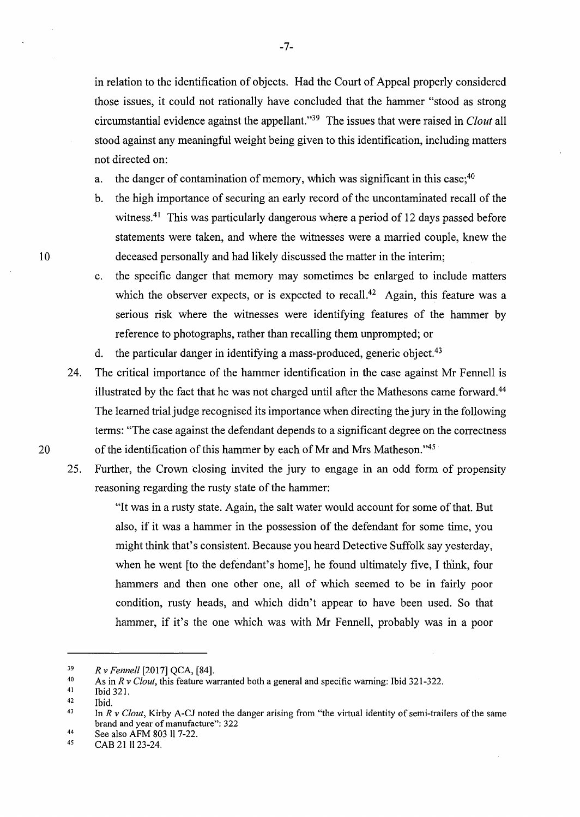in relation to the identification of objects. Had the Court of Appeal properly considered those issues, it could not rationally have concluded that the hammer "stood as strong circumstantial evidence against the appellant."39 The issues that were raised in *Clout* all stood against any meaningful weight being given to this identification, including matters not directed on:

a. the danger of contamination of memory, which was significant in this case:  $40^{\circ}$ 

- b. the high importance of securing an early record of the uncontaminated recall of the witness.<sup>41</sup> This was particularly dangerous where a period of 12 days passed before statements were taken, and where the witnesses were a married couple, knew the 10 deceased personally and had likely discussed the matter in the interim;
	- c. the specific danger that memory may sometimes be enlarged to include matters which the observer expects, or is expected to recall.<sup>42</sup> Again, this feature was a serious risk where the witnesses were identifying features of the hammer by reference to photographs, rather than recalling them unprompted; or
	- d. the particular danger in identifying a mass-produced, generic object.<sup>43</sup>
- 24. The critical importance of the hammer identification in the case against Mr Fennell is illustrated by the fact that he was not charged until after the Mathesons came forward. <sup>44</sup> The learned trial judge recognised its importance when directing the jury in the following terms: "The case against the defendant depends to a significant degree on the correctness 20 of the identification of this hammer by each of Mr and Mrs Matheson."<sup>45</sup>
	- 25. Further, the Crown dosing invited the jury to engage in an odd form of propensity reasoning regarding the rusty state of the hammer:

"It was in a rusty state. Again, the salt water would account for some of that. But also, if it was a hammer in the possession of the defendant for some time, you might think that's consistent. Because you heard Detective Suffolk say yesterday, when he went [to the defendant's home], he found ultimately five, I think, four hammers and then one other one, all of which seemed to be in fairly poor condition, rusty heads, and which didn't appear to have been used. So that hammer, if it's the one which was with Mr Fennell, probably was in a poor

<sup>39</sup>  *R v Fennell* [2017] QCA, [84].

<sup>40</sup>  As in *R* v *Clout,* this feature warranted both a general and specific warning: Ibid 321-322.

<sup>41</sup>  Ibid 321.

<sup>42</sup>  Ibid.

<sup>43</sup>  In *R v Clout*, Kirby A-CJ noted the danger arising from "the virtual identity of semi-trailers of the same brand and year of manufacture": 322

<sup>44</sup>  See also AFM 803 11 7-22.

<sup>45</sup>  CAB 21 11 23-24.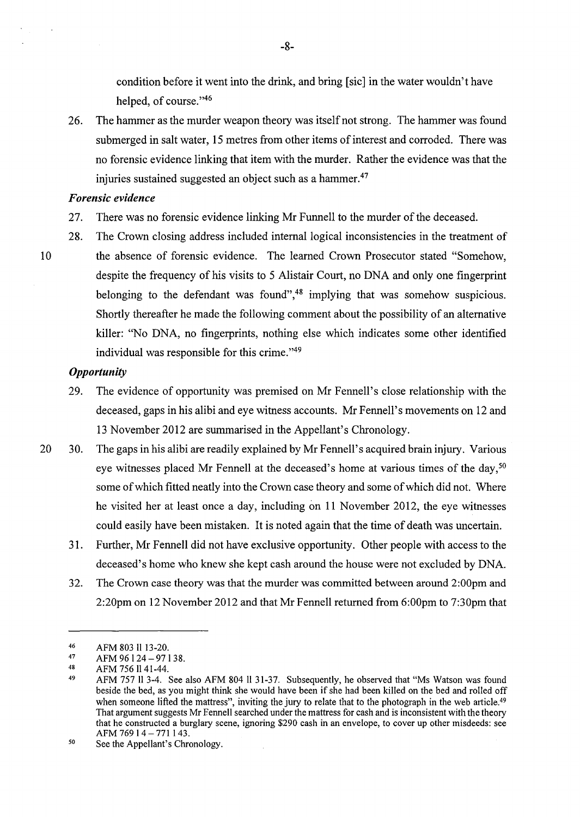condition before it went into the drink, and bring [sic] in the water wouldn't have helped, of course."46

26. The hammer as the murder weapon theory was itself not strong. The hammer was found submerged in salt water, 15 metres from other items of interest and corroded. There was no forensic evidence linking that item with the murder. Rather the evidence was that the injuries sustained suggested an object such as a hammer.<sup>47</sup>

#### *Forensic evidence*

- 27. There was no forensic evidence linking Mr Funnell to the murder of the deceased.
- 28. The Crown closing address included internal logical inconsistencies in the treatment of 10 the absence of forensic evidence. The learned Crown Prosecutor stated "Somehow, despite the frequency of his visits to 5 Alistair Court, no DNA and only one fingerprint belonging to the defendant was found",<sup>48</sup> implying that was somehow suspicious. Shortly thereafter he made the following comment about the possibility of an alternative killer: "No DNA, no fingerprints, nothing else which indicates some other identified individual was responsible for this crime."49

#### *Opportunity*

- 29. The evidence of opportunity was premised on Mr Fennell's close relationship with the deceased, gaps in his alibi and eye witness accounts. Mr Fennell's movements on 12 and 13 November 2012 are summarised in the Appellant's Chronology.
- 20 30. The gaps in his alibi are readily explained by Mr Fennell's acquired brain injury. Various eye witnesses placed Mr Fennell at the deceased's home at various times of the day,<sup>50</sup> some of which fitted neatly into the Crown case theory and some of which did not. Where he visited her at least once a day, including on 11 November 2012, the eye witnesses could easily have been mistaken. It is noted again that the time of death was uncertain.
	- 31. Further, Mr Fennell did not have exclusive opportunity. Other people with access to the deceased's home who knew she kept cash around the house were not excluded by DNA.
	- 32. The Crown case theory was that the murder was committed between around 2:00pm and 2:20pm on 12 November 2012 and that Mr Fennell returned from 6:00pm to 7:30pm that

-8-

<sup>46</sup>  47 AFM 803 II 13-20.

<sup>48</sup>  AFM 96124-97138.

AFM 756 Il 41-44.

<sup>49</sup>  AFM 757 II 3-4. See also AFM 804 II 31-37. Subsequently, he observed that "Ms Watson was found beside the bed, as you might think she would have been if she had been killed on the bed and rolled off when someone lifted the mattress", inviting the jury to relate that to the photograph in the web article.<sup>49</sup> That argument suggests Mr Fennell searched under the mattress for cash and is inconsistent with the theory that he constructed a burglary scene, ignoring \$290 cash in an envelope, to cover up other misdeeds: see AFM 769 14 - 771 143.

<sup>50</sup>  See the Appellant's Chronology.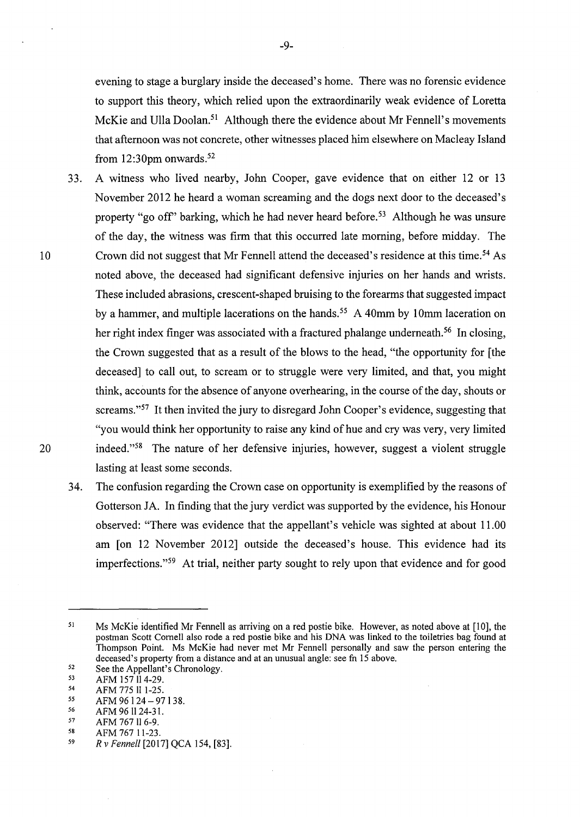evening to stage a burglary inside the deceased' s home. There was no forensic evidence to support this theory, which relied upon the extraordinarily weak evidence of Loretta McKie and Ulla Doolan.<sup>51</sup> Although there the evidence about Mr Fennell's movements that afternoon was not concrete, other witnesses placed him elsewhere on Macleay Island from  $12:30$ pm onwards.<sup>52</sup>

- 33. A witness who lived nearby, John Cooper, gave evidence that on either 12 or 13 November 2012 he heard a woman screaming and the dogs next door to the deceased's property "go off" barking, which he had never heard before.<sup>53</sup> Although he was unsure of the day, the witness was firm that this occurred late morning, before midday. The 10 Crown did not suggest that Mr Fennell attend the deceased's residence at this time. 54 As noted above, the deceased had significant defensive injuries on her hands and wrists. These included abrasions, crescent-shaped bruising to the forearms that suggested impact by a hammer, and multiple lacerations on the hands. 55 A 40mm by 10mm laceration on her right index finger was associated with a fractured phalange underneath.<sup>56</sup> In closing, the Crown suggested that as a result of the blows to the head, "the opportunity for [the deceased] to call out, to scream or to struggle were very limited, and that, you might think, accounts for the absence of anyone overhearing, in the course of the day, shouts or screams."<sup>57</sup> It then invited the jury to disregard John Cooper's evidence, suggesting that "you would think her opportunity to raise any kind of hue and cry was very, very limited 20 indeed."<sup>58</sup> The nature of her defensive injuries, however, suggest a violent struggle lasting at least some seconds.
	- 34. The confusion regarding the Crown case on opportunity is exemplified by the reasons of Gotterson JA. In finding that the jury verdict was supported by the evidence, his Honour observed: "There was evidence that the appellant's vehicle was sighted at about 11.00 am [on 12 November 2012] outside the deceased's house. This evidence had its imperfections."<sup>59</sup> At trial, neither party sought to rely upon that evidence and for good

59 AFM 767 11-23.

<sup>51</sup>  Ms McKie identified Mr Fennell as arriving on a red postie bike. However, as noted above at [IO], the postman Scott Cornell also rode a red postie bike and his DNA was linked to the toiletries bag found at Thompson Point. Ms McKie had never met Mr Fennell personally and saw the person entering the deceased's property from a distance and at an unusual angle: see fn 15 above.

<sup>52</sup>  See the Appellant's Chronology.

<sup>53</sup>  AFM 157 II 4-29.

<sup>54</sup>  AFM 775 II 1-25.

*<sup>55</sup>*  AFM 96 124 - 97 I 38.

<sup>56</sup>  57 AFM 96 II 24-31.

<sup>58</sup>  AFM 767 II 6-9.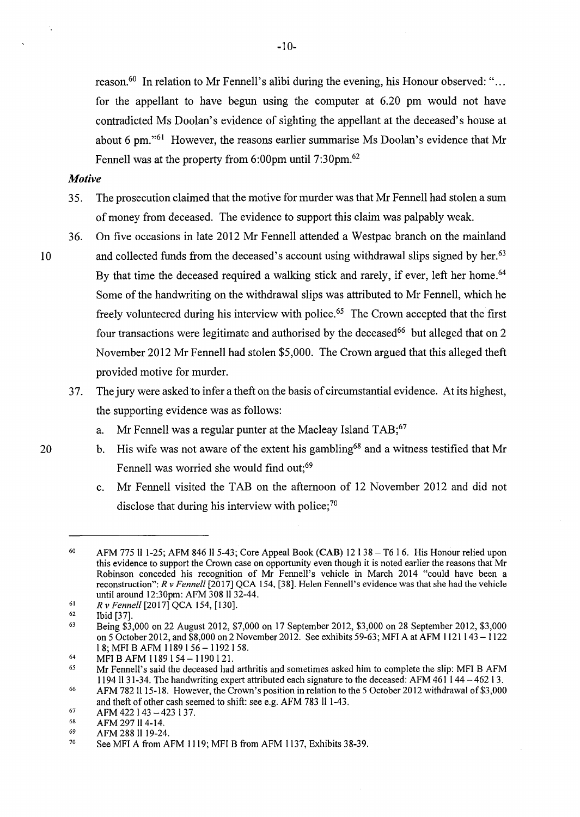reason.<sup>60</sup> In relation to Mr Fennell's alibi during the evening, his Honour observed: "... for the appellant to have begun using the computer at 6.20 pm would not have contradicted Ms Doolan's evidence of sighting the appellant at the deceased's house at about 6 pm."61 However, the reasons earlier summarise Ms Doolan's evidence that Mr Fennell was at the property from 6:00pm until 7:30pm.<sup>62</sup>

#### *Motive*

- 35. The prosecution claimed that the motive for murder was that Mr Fennell had stolen a sum of money from deceased. The evidence to support this claim was palpably weak.
- 36. On five occasions in late 2012 Mr Fennell attended a Westpac branch on the mainland 10 and collected funds from the deceased's account using withdrawal slips signed by her.<sup>63</sup> By that time the deceased required a walking stick and rarely, if ever, left her home.<sup>64</sup> Some of the handwriting on the withdrawal slips was attributed to Mr Fennell, which he freely volunteered during his interview with police.65 The Crown accepted that the first four transactions were legitimate and authorised by the deceased<sup>66</sup> but alleged that on 2 November 2012 Mr Fennell had stolen \$5,000. The Crown argued that this alleged theft provided motive for murder.
	- 3 7. The jury were asked to infer a theft on the basis of circumstantial evidence. At its highest, the supporting evidence was as follows:
		- a. Mr Fennell was a regular punter at the Macleay Island TAB;<sup>67</sup>
- 20 b. His wife was not aware of the extent his gambling<sup>68</sup> and a witness testified that Mr Fennell was worried she would find out;<sup>69</sup>
	- c. Mr Fennell visited the TAB on the afternoon of 12 November 2012 and did not disclose that during his interview with police;<sup>70</sup>

<sup>60</sup>  AFM 775 11 1-25; AFM 846 115-43; Core Appeal Book **(CAB)** 12 138 -T6 16. His Honour relied upon this evidence to support the Crown case on opportunity even though it is noted earlier the reasons that Mr Robinson conceded his recognition of Mr Fennell's vehicle in March 2014 "could have been a reconstruction": *R v Fennell* [2017] QCA 154, [38]. Helen Fennell's evidence was that she had the vehicle until around 12:30pm: AFM 308 1132-44.

<sup>61</sup>  *R v Fennell* [2017] QCA 154, [ 130].

<sup>62</sup>  Ibid [37].

<sup>63</sup>  Being \$3,000 on 22 August 2012, \$7,000 on 17 September 2012, \$3,000 on 28 September 2012, \$3,000 on 5 October 2012, and  $$8,000$  on 2 November 2012. See exhibits 59-63; MFI A at AFM 1121 143 - 1122 l 8; MFI B AFM 1189 I 56 - 1192 I 58.

<sup>64</sup>  MFI B AFM 1189 154 - 1190 121.

*<sup>65</sup>*  Mr Fennell's said the deceased had arthritis and sometimes asked him to complete the slip: MFI B AFM 1194 1131-34. The handwriting expert attributed each signature to the deceased: AFM 461 144-462 13.

<sup>66</sup>  AFM 782 II 15-18. However, the Crown's position in relation to the 5 October 2012 withdrawal of \$3,000 and theft of other cash seemed to shift: see e.g. AFM 783 ll 1-43.

<sup>67</sup>  AFM 422143 -423 137.

<sup>68</sup>  AFM 297 ll 4-14.

<sup>69</sup>  AFM 288 11 19-24.

<sup>70</sup>  See MFI A from AFM 1119; MFI B from AFM 1137, Exhibits 38-39.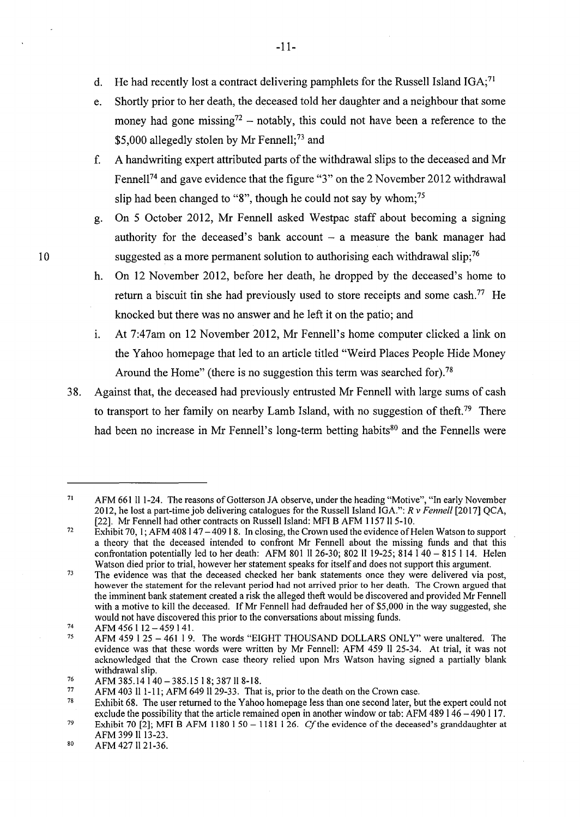- d. He had recently lost a contract delivering pamphlets for the Russell Island  $IGA$ ;<sup>71</sup>
- e. Shortly prior to her death, the deceased told her daughter and a neighbour that some money had gone missing<sup>72</sup> – notably, this could not have been a reference to the \$5,000 allegedly stolen by Mr Fennell;<sup>73</sup> and
- f. A handwriting expert attributed parts of the withdrawal slips to the deceased and Mr Fennell<sup>74</sup> and gave evidence that the figure "3" on the 2 November 2012 withdrawal slip had been changed to "8", though he could not say by whom;<sup>75</sup>
- g. On 5 October 2012, Mr Fennell asked Westpac staff about becoming a signing authority for the deceased's bank account  $-$  a measure the bank manager had 10 suggested as a more permanent solution to authorising each withdrawal slip:<sup>76</sup>
	- h. On 12 November 2012, before her death, he dropped by the deceased's home to return a biscuit tin she had previously used to store receipts and some cash.<sup>77</sup> He knocked but there was no answer and he left it on the patio; and
	- 1. At 7:47am on 12 November 2012, Mr Fennell's home computer clicked a link on the Yahoo homepage that led to an article titled "Weird Places People Hide Money Around the Home" (there is no suggestion this term was searched for).<sup>78</sup>
	- 38. Against that, the deceased had previously entrusted Mr Fennell with large sums of cash to transport to her family on nearby Lamb Island, with no suggestion of theft.<sup>79</sup> There had been no increase in Mr Fennell's long-term betting habits<sup>80</sup> and the Fennells were

-11-

<sup>71</sup>  AFM 661 II 1-24. The reasons of Gotterson JA observe, under the heading "Motive", "In early November 2012, he lost a part-time job delivering catalogues for the Russell Island IGA.": *R* v *Fennell* [2017] QCA, [22]. Mr Fennell had other contracts on Russell Island: MFI B AFM 1157 ll 5-10.

<sup>72</sup>  Exhibit 70, 1; AFM 408 147 – 409 18. In closing, the Crown used the evidence of Helen Watson to support a theory that the deceased intended to confront Mr Fennell about the missing funds and that this confrontation potentially led to her death: AFM 801 1126-30; 802 II 19-25; 814 140 - 815 I 14. Helen Watson died prior to trial, however her statement speaks for itself and does not support this argument.

<sup>73</sup>  The evidence was that the deceased checked her bank statements once they were delivered via post, however the statement for the relevant period had not arrived prior to her death. The Crown argued that the imminent bank statement created a risk the alleged theft would be discovered and provided Mr Fennell with a motive to kill the deceased. If Mr Fennell had defrauded her of \$5,000 in the way suggested, she would not have discovered this prior to the conversations about missing funds.

<sup>74</sup>  AFM 456112-459141.

<sup>75</sup>  AFM 459 I 25 - 461 I 9. The words "EIGHT THOUSAND DOLLARS ONLY" were unaltered. The evidence was that these words were written by Mr Fennell: AFM 459 11 25-34. At trial, it was not acknowledged that the Crown case theory relied upon Mrs Watson having signed a partially blank withdrawal slip.

<sup>76</sup>  AFM 385.14 140 - 385.15 I 8; 387 11 8-18.

<sup>77</sup>  AFM 403 Il 1-11; AFM 649 Il 29-33. That is, prior to the death on the Crown case.

<sup>78</sup>  Exhibit 68. The user returned to the Yahoo homepage less than one second later, but the expert could not exclude the possibility that the article remained open in another window or tab: AFM 489 146 -490 117.

<sup>79</sup>  Exhibit 70 [2]; MFI B AFM 1180 1 50 - 1181 1 26. Cf the evidence of the deceased's granddaughter at AFM 399 Il 13-23.

<sup>80</sup>  AFM 427 11 21-36.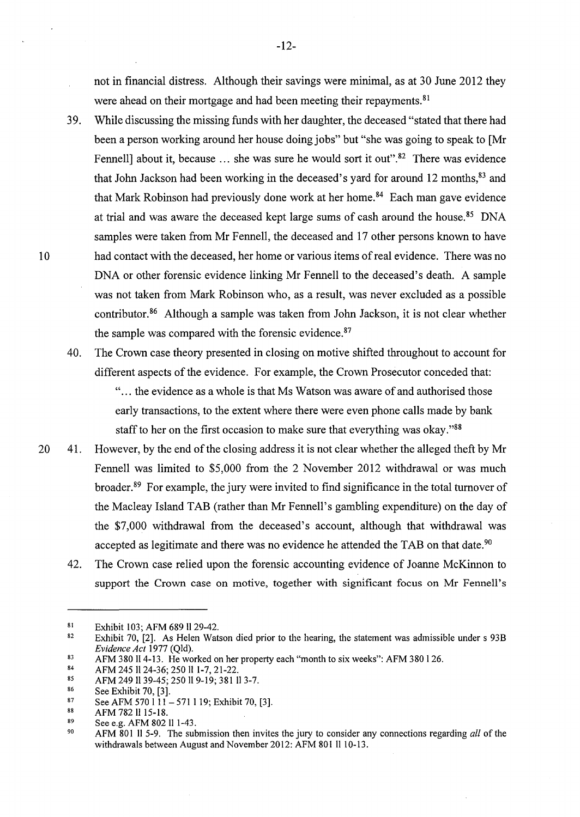not in financial distress. Although their savings were minimal, as at 30 June 2012 they were ahead on their mortgage and had been meeting their repayments.<sup>81</sup>

- 39. While discussing the missing funds with her daughter, the deceased "stated that there had been a person working around her house doing jobs" but "she was going to speak to [Mr Fennell] about it, because ... she was sure he would sort it out".<sup>82</sup> There was evidence that John Jackson had been working in the deceased's yard for around 12 months,<sup>83</sup> and that Mark Robinson had previously done work at her home. 84 Each man gave evidence at trial and was aware the deceased kept large sums of cash around the house. 85 DNA samples were taken from Mr Fennell, the deceased and 17 other persons known to have 10 had contact with the deceased, her home or various items of real evidence. There was no DNA or other forensic evidence linking Mr Fennell to the deceased's death. A sample was not taken from Mark Robinson who, as a result, was never excluded as a possible contributor. 86 Although a sample was taken from John Jackson, it is not clear whether the sample was compared with the forensic evidence.<sup>87</sup>
	- 40. The Crown case theory presented in closing on motive shifted throughout to account for different aspects of the evidence. For example, the Crown Prosecutor conceded that: "... the evidence as a whole is that Ms Watson was aware of and authorised those early transactions, to the extent where there were even phone calls made by bank staff to her on the first occasion to make sure that everything was okay."88
- 20 41. However, by the end of the closing address it is not clear whether the alleged theft by Mr Fennell was limited to \$5,000 from the 2 November 2012 withdrawal or was much broader.89 For example, the jury were invited to find significance in the total turnover of the Macleay Island TAB (rather than Mr Fennell's gambling expenditure) on the day of the \$7,000 withdrawal from the deceased's account, although that withdrawal was accepted as legitimate and there was no evidence he attended the TAB on that date.<sup>90</sup>
	- 42. The Crown case relied upon the forensic accounting evidence of Joanne McKinnon to support the Crown case on motive, together with significant focus on Mr Fennell's

<sup>81</sup>  Exhibit 103; AFM 689 ll 29-42.

<sup>82</sup>  Exhibit 70, [2]. As Helen Watson died prior to the hearing, the statement was admissible under s 93B *Evidence Act* 1977 (Qld).

<sup>83</sup>  AFM 380 II 4-13. He worked on her property each "month to six weeks": AFM 380 I 26.

<sup>84</sup>  AFM 245 II 24-36; 250 II 1-7, 21-22.

<sup>85</sup>  AFM 249 II 39-45; 250 II 9-19; 381 II 3-7.

<sup>86</sup>  See Exhibit 70, [3].

<sup>87</sup>  See AFM 570 1 11 - 571 1 19; Exhibit 70, [3].

<sup>88</sup>  AFM 782 II 15-18.

<sup>89</sup>  See e.g. AFM 802 II 1-43.

<sup>90</sup>  AFM 801 II 5-9. The submission then invites the jury to consider any connections regarding *all* of the withdrawals between August and November 2012: AFM 801 II 10-13.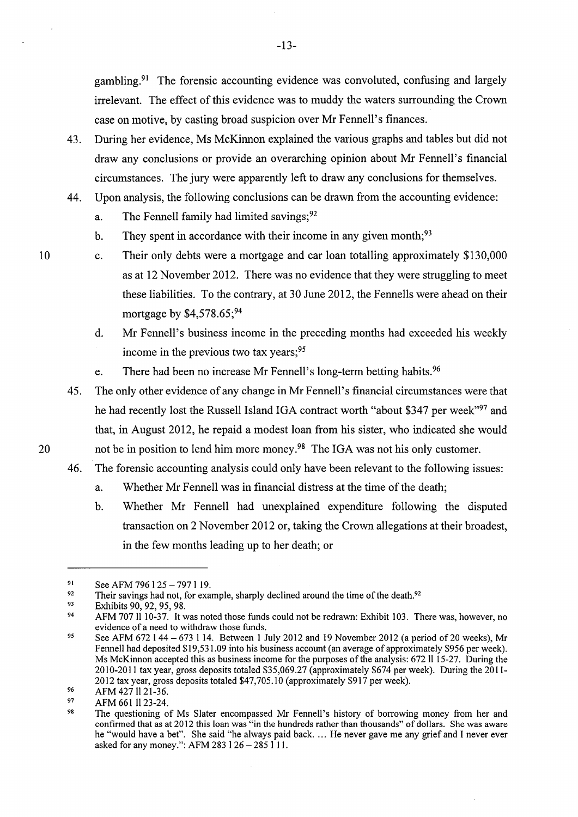gambling.<sup>91</sup> The forensic accounting evidence was convoluted, confusing and largely irrelevant. The effect of this evidence was to muddy the waters surrounding the Crown case on motive, by casting broad suspicion over Mr Fennell's finances.

- 43. During her evidence, Ms McKinnon explained the various graphs and tables but did not draw any conclusions or provide an overarching opinion about Mr Fennell's financial circumstances. The jury were apparently left to draw any conclusions for themselves.
- 44. Upon analysis, the following conclusions can be drawn from the accounting evidence:
	- a. The Fennell family had limited savings;  $92$
	- b. They spent in accordance with their income in any given month;  $93$
	- C. Their only debts were a mortgage and car loan totalling approximately \$130,000 as at 12 November 2012. There was no evidence that they were struggling to meet these liabilities. To the contrary, at 30 June 2012, the Fennells were ahead on their mortgage by  $$4,578.65$ ;<sup>94</sup>
		- d. Mr Fennell's business income in the preceding months had exceeded his weekly income in the previous two tax years;<sup>95</sup>
		- e. There had been no increase Mr Fennell's long-term betting habits.<sup>96</sup>
- 45. The only other evidence of any change in Mr Fennell' s financial circumstances were that he had recently lost the Russell Island IGA contract worth "about \$347 per week"<sup>97</sup> and that, in August 2012, he repaid a modest loan from his sister, who indicated she would 20 not be in position to lend him more money.<sup>98</sup> The IGA was not his only customer.
	- 46. The forensic accounting analysis could only have been relevant to the following issues:
		- a. Whether Mr Fennell was in financial distress at the time of the death;
		- b. Whether Mr Fennell had unexplained expenditure following the disputed transaction on 2 November 2012 or, taking the Crown allegations at their broadest, in the few months leading up to her death; or

10

-13-

<sup>91</sup>  See AFM 796 1 25 - 797 1 19.

<sup>92</sup>  Their savings had not, for example, sharply declined around the time of the death.<sup>92</sup>

<sup>93</sup>  Exhibits 90, 92, 95, 98.

<sup>94</sup>  AFM 70711 10-37. It was noted those funds could not be redrawn: Exhibit 103. There was, however, no evidence of a need to withdraw those funds.

<sup>95</sup>  See AFM 672 1 44 - 673 1 14. Between 1 July 2012 and 19 November 2012 (a period of 20 weeks), Mr Fennell had deposited \$19,531.09 into his business account (an average of approximately \$956 per week). Ms McKinnon accepted this as business income for the purposes of the analysis: 672 ll 15-27. During the 2010-2011 tax year, gross deposits totaled \$35,069.27 (approximately \$674 per week). During the 2011- 2012 tax year, gross deposits totaled \$47,705.10 (approximately \$917 per week).

<sup>96</sup>  AFM 427 ll 21-36.

<sup>97</sup>  AFM 661 1123-24.

<sup>98</sup>  The questioning of Ms Slater encompassed Mr Fennell's history of borrowing money from her and confirmed that as at 2012 this loan was "in the hundreds rather than thousands" of dollars. She was aware he "would have a bet". She said "he always paid back .... He never gave me any grief and I never ever asked for any money.": AFM 283 1 26 - 285 1 11.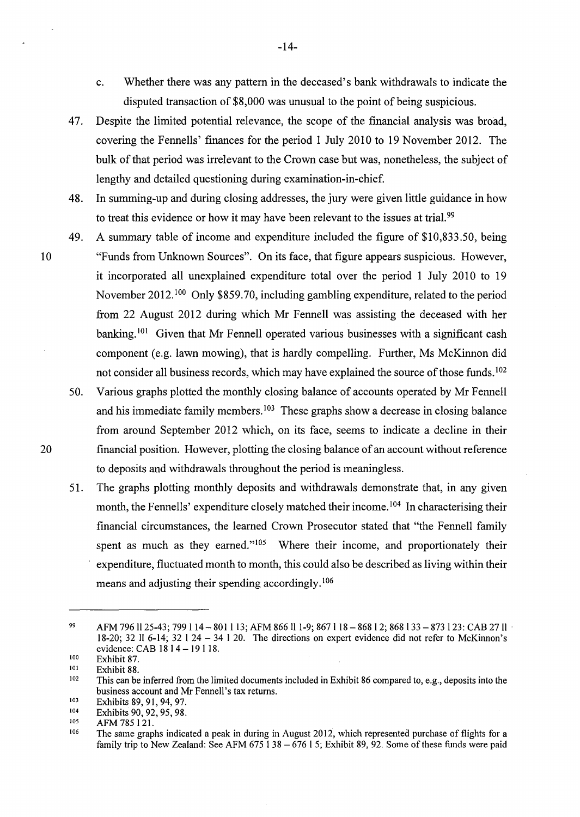- c. Whether there was any pattern in the deceased's bank withdrawals to indicate the disputed transaction of \$8,000 was unusual to the point of being suspicious.
- 47. Despite the limited potential relevance, the scope of the financial analysis was broad, covering the Fennells' finances for the period 1 July 2010 to 19 November 2012. The bulk of that period was irrelevant to the Crown case but was, nonetheless, the subject of lengthy and detailed questioning during examination-in-chief.
- 48. In summing-up and during closing addresses, the jury were given little guidance in how to treat this evidence or how it may have been relevant to the issues at trial.<sup>99</sup>
- 49. A summary table of income and expenditure included the figure of \$10,833.50, being 10 "Funds from Unknown Sources". On its face, that figure appears suspicious. However, it incorporated all unexplained expenditure total over the period 1 July 2010 to 19 November 2012. 100 Only \$859.70, including gambling expenditure, related to the period from 22 August 2012 during which Mr Fennell was assisting the deceased with her banking.<sup>101</sup> Given that Mr Fennell operated various businesses with a significant cash component (e.g. lawn mowing), that is hardly compelling. Further, Ms McKinnon did not consider all business records, which may have explained the source of those funds.<sup>102</sup>
- 50. Various graphs plotted the monthly closing balance of accounts operated by Mr Fennell and his immediate family members.<sup>103</sup> These graphs show a decrease in closing balance from around September 2012 which, on its face, seems to indicate a decline in their 20 financial position. However, plotting the closing balance of an account without reference to deposits and withdrawals throughout the period is meaningless.
	- 51. The graphs plotting monthly deposits and withdrawals demonstrate that, in any given month, the Fennells' expenditure closely matched their income.<sup>104</sup> In characterising their financial circumstances, the learned Crown Prosecutor stated that "the Fennell family spent as much as they earned."<sup>105</sup> Where their income, and proportionately their expenditure, fluctuated month to month, this could also be described as living within their means and adjusting their spending accordingly.<sup>106</sup>

<sup>99</sup>  AFM 796 11 25-43; 799 1 14 - 801 1 13; AFM 866 11 1-9; 867 1 18 - 868 1 2; 868 1 33 - 873 1 23: CAB 27 11 · 18-20; 32 II 6-14; 32 I 24 - 34 I 20. The directions on expert evidence did not refer to McKinnon's evidence: CAB 1814 - 19118.

<sup>100</sup>  101 Exhibit 87.

Exhibit 88.

<sup>102</sup>  103 This can be inferred from the limited documents included in Exhibit 86 compared to, e.g., deposits into the business account and Mr Fennell's tax returns.

<sup>104</sup>  Exhibits 89, 91, 94, 97.

Exhibits 90, 92, 95, 98.

<sup>105</sup>  AFM 785121.

<sup>106</sup>  The same graphs indicated a peak in during in August 2012, which represented purchase of flights for a family trip to New Zealand: See AFM 675  $138 - 67615$ ; Exhibit 89, 92. Some of these funds were paid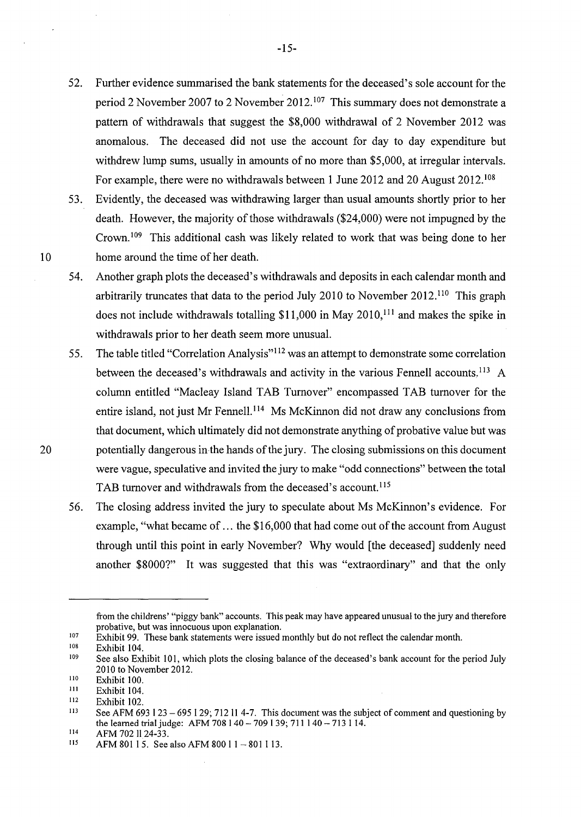- 52. Further evidence summarised the bank statements for the deceased's sole account for the period 2 November 2007 to 2 November 2012. 107 This summary does not demonstrate a pattern of withdrawals that suggest the \$8,000 withdrawal of 2 November 2012 was anomalous. The deceased did not use the account for day to day expenditure but withdrew lump sums, usually in amounts of no more than \$5,000, at irregular intervals. For example, there were no withdrawals between 1 June 2012 and 20 August 2012. <sup>108</sup>
- 53. Evidently, the deceased was withdrawing larger than usual amounts shortly prior to her death. However, the majority of those withdrawals (\$24,000) were not impugned by the Crown. 109 This additional cash was likely related to work that was being done to her 10 home around the time of her death.
	- 54. Another graph plots the deceased's withdrawals and deposits in each calendar month and arbitrarily truncates that data to the period July 2010 to November 2012. 110 This graph does not include withdrawals totalling  $$11,000$  in May 2010,<sup>111</sup> and makes the spike in withdrawals prior to her death seem more unusual.
- 55. The table titled "Correlation Analysis"<sup>112</sup> was an attempt to demonstrate some correlation between the deceased's withdrawals and activity in the various Fennell accounts.<sup>113</sup> A column entitled "Macleay Island TAB Turnover" encompassed TAB turnover for the entire island, not just Mr Fennell. 114 Ms McKinnon did not draw any conclusions from that document, which ultimately did not demonstrate anything of probative value but was 20 potentially dangerous in the hands of the jury. The closing submissions on this document were vague, speculative and invited the jury to make "odd connections" between the total TAB turnover and withdrawals from the deceased's account. <sup>115</sup>
	- 56. The closing address invited the jury to speculate about Ms McKinnon's evidence. For example, "what became of ... the \$16,000 that had come out of the account from August through until this point in early November? Why would [the deceased] suddenly need another \$8000?" It was suggested that this was "extraordinary" and that the only

from the childrens' "piggy bank" accounts. This peak may have appeared unusual to the jury and therefore probative, but was innocuous upon explanation.

<sup>107</sup>  Exhibit 99. These bank statements were issued monthly but do not reflect the calendar month.

<sup>108</sup>  Exhibit 104.

<sup>109</sup>  See also Exhibit 101, which plots the closing balance of the deceased's bank account for the period July 2010 to November 2012.

<sup>110</sup>  Exhibit 100.

Ill Exhibit 104.

<sup>112</sup>  Exhibit 102.

<sup>113</sup>  See AFM 693 1 23 - 695 1 29; 712 11 4-7. This document was the subject of comment and questioning by the learned trial judge: AFM 708 I 40- 709 I 39; 711 I 40- 713 114.

<sup>114</sup>  AFM 702 ll 24-33.

<sup>115</sup>  AFM 801 15. See also AFM 800 1 1 - 801 1 13.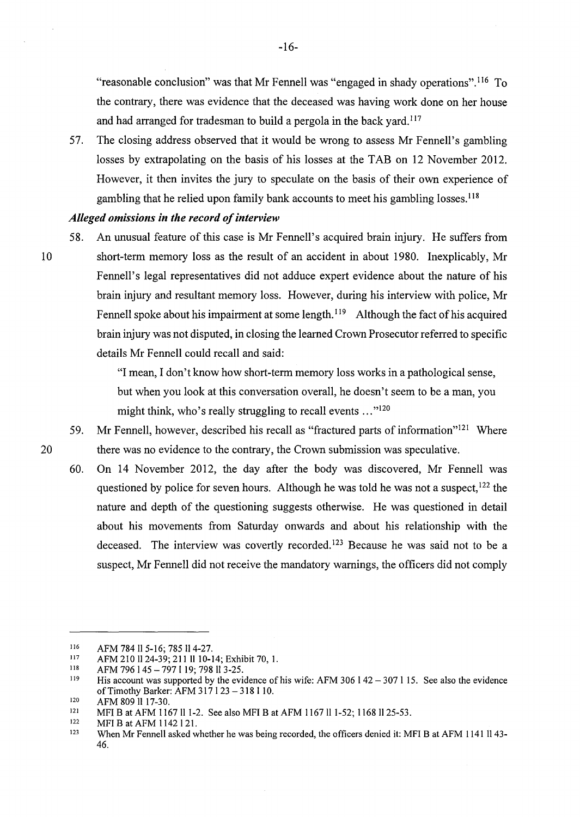"reasonable conclusion" was that Mr Fennell was "engaged in shady operations".<sup>116</sup> To the contrary, there was evidence that the deceased was having work done on her house and had arranged for tradesman to build a pergola in the back yard.<sup>117</sup>

57. The closing address observed that it would be wrong to assess Mr Fennell's gambling losses by extrapolating on the basis of his losses at the TAB on 12 November 2012. However, it then invites the jury to speculate on the basis of their own experience of gambling that he relied upon family bank accounts to meet his gambling losses.<sup>118</sup>

## *Alleged omissions in the record of interview*

58. An unusual feature of this case is Mr Fennell's acquired brain injury. He suffers from 10 short-term memory loss as the result of an accident in about 1980. Inexplicably, Mr Fennell's legal representatives did not adduce expert evidence about the nature of his brain injury and resultant memory loss. However, during his interview with police, Mr Fennell spoke about his impairment at some length.<sup>119</sup> Although the fact of his acquired brain injury was not disputed, in closing the learned Crown Prosecutor referred to specific details Mr Fennell could recall and said:

> "I mean, I don't know how short-term memory loss works in a pathological sense, but when you look at this conversation overall, he doesn't seem to be a man, you might think, who's really struggling to recall events ..."<sup>120</sup>

- 59. Mr Fennell, however, described his recall as "fractured parts of information"121 Where 20 there was no evidence to the contrary, the Crown submission was speculative.
	- 60. On 14 November 2012, the day after the body was discovered, Mr Fennell was questioned by police for seven hours. Although he was told he was not a suspect,  $122$  the nature and depth of the questioning suggests otherwise. He was questioned in detail about his movements from Saturday onwards and about his relationship with the deceased. The interview was covertly recorded.<sup>123</sup> Because he was said not to be a suspect, Mr Fennell did not receive the mandatory warnings, the officers did not comply

<sup>116</sup>  AFM 784 II 5-16; 785 Il 4-27.

<sup>117</sup>  AFM 210 1124-39; 2111110-14; Exhibit 70, I.

<sup>118</sup>  AFM 796 145 - 7971 19; 798 113-25.

<sup>119</sup>  120 His account was supported by the evidence of his wife: AFM 306  $142 - 307115$ . See also the evidence of Timothy Barker: AFM 317 I 23 - 318 I 10.

AFM 809 II 17-30.

<sup>121</sup>  MFI B at AFM 1167 ll 1-2. See also MFI B at AFM 1167 ll 1-52; 1168 ll 25-53.

<sup>122</sup>  MFI Bat AFM 1142 121.

<sup>123</sup>  When Mr Fennell asked whether he was being recorded, the officers denied it: MFI B at AFM 1141 ll 43-46.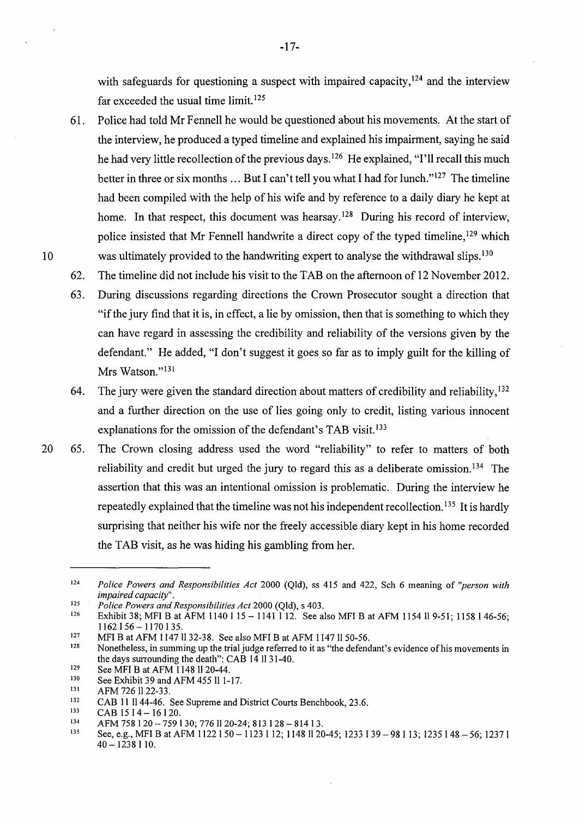with safeguards for questioning a suspect with impaired capacity,  $124$  and the interview far exceeded the usual time limit. <sup>125</sup>

61. Police had told Mr Fennell he would be questioned about his movements. At the start of the interview, he produced a typed timeline and explained his impairment, saying he said he had very little recollection of the previous days.<sup>126</sup> He explained, "I'll recall this much better in three or six months ... But I can't tell you what I had for lunch."<sup>127</sup> The timeline had been compiled with the help of his wife and by reference to a daily diary he kept at home. In that respect, this document was hearsay.<sup>128</sup> During his record of interview, police insisted that Mr Fennell handwrite a direct copy of the typed timeline, 129 which 10 was ultimately provided to the handwriting expert to analyse the withdrawal slips.<sup>130</sup>

62. The timeline did not include his visit to the TAB on the afternoon of 12 November 2012.

- 63. During discussions regarding directions the Crown Prosecutor sought a direction that "if the jury find that it is, in effect, a lie by omission, then that is something to which they can have regard in assessing the credibility and reliability of the versions given by the defendant." He added, "I don't suggest it goes so far as to imply guilt for the killing of Mrs Watson."<sup>131</sup>
- 64. The jury were given the standard direction about matters of credibility and reliability,  $132$ and a further direction on the use of lies going only to credit, listing various innocent explanations for the omission of the defendant's TAB visit.<sup>133</sup>
- 20 65. The Crown closing address used the word "reliability" to refer to matters of both reliability and credit but urged the jury to regard this as a deliberate omission.<sup>134</sup> The assertion that this was an intentional omission is problematic. During the interview he repeatedly explained that the timeline was not his independent recollection.<sup>135</sup> It is hardly surprising that neither his wife nor the freely accessible diary kept in his home recorded the TAB visit, as he was hiding his gambling from her.

<sup>124</sup>  *Police Powers and R~sponsibilities Act* 2000 (Qld), ss 415 and 422, Sch 6 meaning of *"person with impaired capacity".* 

<sup>125</sup>  *Police Powers and Responsibilities Act* 2000 (Qld), s 403.

<sup>126</sup>  Exhibit 38; MFI B at AFM 1140 1 15 - 1141  $\overline{112}$ . See also MFI B at AFM 1154 II 9-51; 1158 1 46-56;  $1162$   $156 - 1170$   $135$ .

<sup>127</sup>  MFI B at AFM 1147 ll 32-38. See also MFI B at AFM 1147 ll 50-56.

<sup>128</sup>  Nonetheless, in summing up the trial judge referred to it as "the defendant's evidence of his movements in the days surrounding the death": CAB 14 11 31-40.

<sup>129</sup>  See MFI Bat AFM 1148 1120-44.

<sup>130</sup>  See Exhibit 39 and AFM 455 ll 1-17.

<sup>131</sup>  AFM 726 1122-33.

<sup>132</sup>  CAB 11 1144-46. See Supreme and District Courts Benchbook, 23.6.

<sup>133</sup>   $CAB$  15  $14 - 16$  120.

<sup>134</sup>  AFM 758 120- 759130; 7761120-24; 813 128 - 81413.

<sup>135</sup>  See, e.g., MFI B at AFM 1122 1 50 - 1123 1 12; 1148 11 20-45; 1233 139 - 98 1 13; 1235 1 48 - 56; 1237 1 40- 1238 110.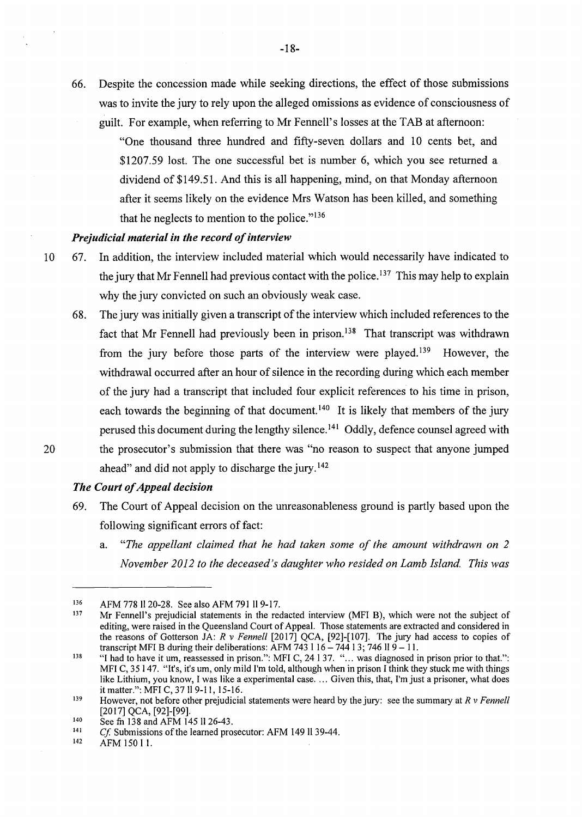66. Despite the concession made while seeking directions, the effect of those submissions was to invite the jury to rely upon the alleged omissions as evidence of consciousness of guilt. For example, when referring to Mr Fennell's losses at the TAB at afternoon:

> "One thousand three hundred and fifty-seven dollars and 10 cents bet, and \$1207.59 lost. The one successful bet is number 6, which you see returned a dividend of \$149.51. And this is all happening, mind, on that Monday afternoon after it seems likely on the evidence Mrs Watson has been killed, and something that he neglects to mention to the police."<sup>136</sup>

# *Prejudicial material in the record of interview*

- 10 67. In addition, the interview included material which would necessarily have indicated to the jury that Mr Fennell had previous contact with the police.<sup>137</sup> This may help to explain why the jury convicted on such an obviously weak case.
- 68. The jury was initially given a transcript of the interview which included references to the fact that Mr Fennell had previously been in prison.<sup>138</sup> That transcript was withdrawn from the jury before those parts of the interview were played.<sup>139</sup> However, the withdrawal occurred after an hour of silence in the recording during which each member of the jury had a transcript that included four explicit references to his time in prison, each towards the beginning of that document.<sup>140</sup> It is likely that members of the jury perused this document during the lengthy silence. 141 Oddly, defence counsel agreed with 20 the prosecutor's submission that there was "no reason to suspect that anyone jumped ahead" and did not apply to discharge the jury.<sup>142</sup>

# *The Court of Appeal decision*

- 69. The Court of Appeal decision on the unreasonableness ground is partly based upon the following significant errors of fact:
	- a. *"The appellant claimed that he had taken some of the amount withdrawn on 2 November 2012 to the deceased's daughter who resided on Lamb Island. This was*

142 AFM 150 l 1.

<sup>136</sup>  AFM 778 11 20-28. See also AFM 791 II 9-17.

<sup>137</sup>  Mr Fennell's prejudicial statements in the redacted interview (MFI B), which were not the subject of editing, were raised in the Queensland Court of Appeal. Those statements are extracted and considered in the reasons of Gotterson JA: *R v Fennell* [2017] QCA, [92]-[107]. The jury had access to copies of transcript MFI B during their deliberations: AFM 743 116- 744 13; 746 11 9- 11.

<sup>138</sup>  "I had to have it um, reassessed in prison.": MFI C, 24 I 37. " ... was diagnosed in prison prior to that.": MFI C, 35 147. "It's, it's um, only mild I'm told, although when in prison I think they stuck me with things like Lithium, you know, I was like a experimental case .... Given this, that, I'm just a prisoner, what does it matter.": MFI C, 37 ll 9-11, 15-16.

<sup>139</sup>  However, not before other prejudicial statements were heard by the jury: see the summary at *R v Fennell*  [2017] QCA, [92]-[99].

<sup>140</sup>  See fn 138 and AFM 145 ll 26-43.

<sup>141</sup>  *Cf.* Submissions of the learned prosecutor: AFM 149 ll 39-44.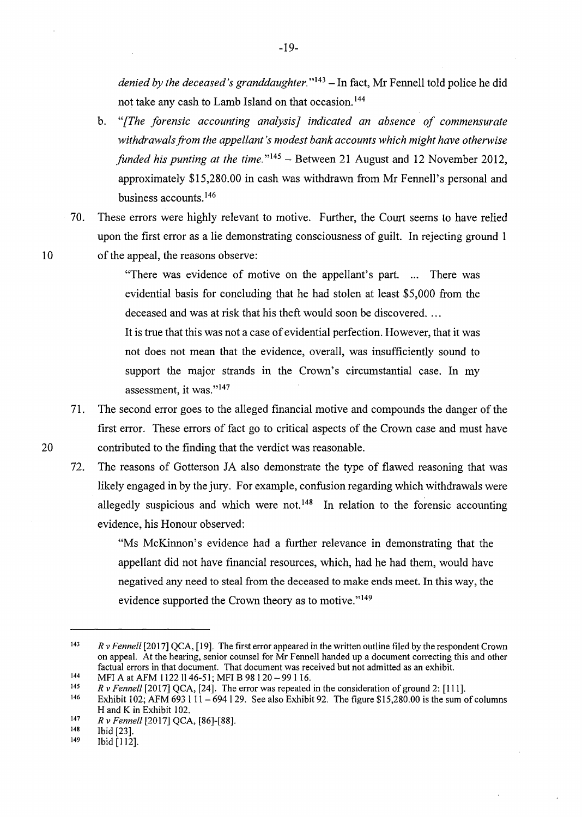*denied by the deceased's granddaughter.*"<sup>143</sup> – In fact, Mr Fennell told police he did not take any cash to Lamb Island on that occasion. <sup>144</sup>

- b. *"[The forensic accounting analysis] indicated an absence of commensurate withdrawals from the appellant's modest bank accounts which might have otherwise funded his punting at the time.*"<sup>145</sup> – Between 21 August and 12 November 2012, approximately \$15,280.00 in cash was withdrawn from Mr Fennell's personal and business accounts. <sup>146</sup>
- 70. These errors were highly relevant to motive. Further, the Court seems to have relied upon the first error as a lie demonstrating consciousness of guilt. In rejecting ground 1 10 of the appeal, the reasons observe:

"There was evidence of motive on the appellant's part. ... There was evidential basis for concluding that he had stolen at least \$5,000 from the deceased and was at risk that his theft would soon be discovered. ...

It is true that this was not a case of evidential perfection. However, that it was not does not mean that the evidence, overall, was insufficiently sound to support the major strands in the Crown's circumstantial case. In my assessment, it was."<sup>147</sup>

- 71. The second error goes to the alleged financial motive and compounds the danger of the first error. These errors of fact go to critical aspects of the Crown case and must have 20 contributed to the finding that the verdict was reasonable.
	- 72. The reasons of Gotterson JA also demonstrate the type of flawed reasoning that was likely engaged in by the jury. For example, confusion regarding which withdrawals were allegedly suspicious and which were not.<sup>148</sup> In relation to the forensic accounting evidence, his Honour observed:

"Ms McKinnon's evidence had a further relevance in demonstrating that the appellant did not have financial resources, which, had he had them, would have negatived any need to steal from the deceased to make ends meet. In this way, the evidence supported the Crown theory as to motive."<sup>149</sup>

<sup>143</sup>  144 *R v Fennell* [2017] QCA, [19]. The first error appeared in the written outline filed by the respondent Crown on appeal. At the hearing, senior counsel for Mr Fennell handed up a document correcting this and other factual errors in that document. That document was received but not admitted as an exhibit.

MFI A at AFM 1122 ll 46-51; MFI B 98 1 20 - 99 1 16.

<sup>145</sup>  *R v Fennell* [2017] QCA, [24]. The error was repeated in the consideration of ground 2: [111].

<sup>146</sup>  Exhibit 102; AFM 693 1 11 - 694 1 29. See also Exhibit 92. The figure \$15,280.00 is the sum of columns H and K in Exhibit 102.

<sup>147</sup>  *R v Fennell* [2017] QCA, **[86]-[88].** 

<sup>148</sup>  Ibid [23].

<sup>149</sup>  Ibid [112].